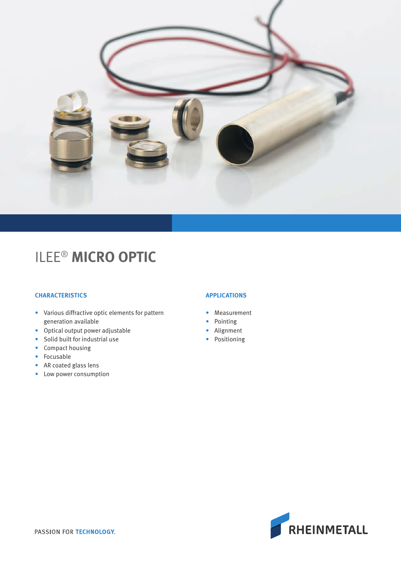

# ILEE® **MICRO OPTIC**

## **CHARACTERISTICS**

- Various diffractive optic elements for pattern generation available
- Optical output power adjustable
- Solid built for industrial use
- Compact housing
- Focusable
- AR coated glass lens
- Low power consumption

### **APPLICATIONS**

- Measurement
- Pointing
- Alignment
- Positioning

RHEINMETALL